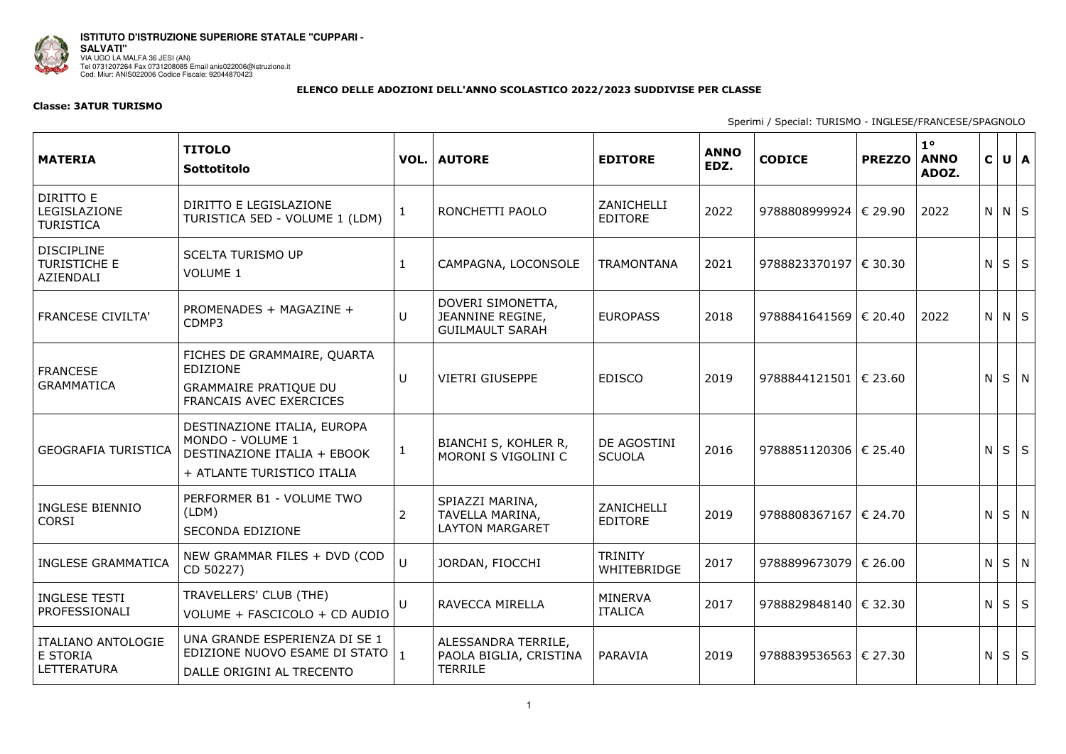

## **ELENCO DELLE ADOZIONI DELL'ANNO SCOLASTICO 2022/2023 SUDDIVISE PER CLASSE**

## **Classe: 3ATUR TURISMO**

Sperimi / Special: TURISMO - INGLESE/FRANCESE/SPAGNOLO

| <b>MATERIA</b>                                              | <b>TITOLO</b><br>Sottotitolo                                                                                     |              | <b>VOL.   AUTORE</b>                                            | <b>EDITORE</b>                   | <b>ANNO</b><br>EDZ. | <b>CODICE</b>             | <b>PREZZO</b> | $1^{\circ}$<br><b>ANNO</b><br>ADOZ. | $\mathsf{C}$ | $U$ $A$           |            |
|-------------------------------------------------------------|------------------------------------------------------------------------------------------------------------------|--------------|-----------------------------------------------------------------|----------------------------------|---------------------|---------------------------|---------------|-------------------------------------|--------------|-------------------|------------|
| DIRITTO E<br>LEGISLAZIONE<br><b>TURISTICA</b>               | DIRITTO E LEGISLAZIONE<br>TURISTICA 5ED - VOLUME 1 (LDM)                                                         | $\mathbf{1}$ | RONCHETTI PAOLO                                                 | ZANICHELLI<br><b>EDITORE</b>     | 2022                | 9788808999924   € 29.90   |               | 2022                                |              | $N$ $N$ $S$       |            |
| <b>DISCIPLINE</b><br><b>TURISTICHE E</b><br>AZIENDALI       | <b>SCELTA TURISMO UP</b><br><b>VOLUME 1</b>                                                                      |              | CAMPAGNA, LOCONSOLE                                             | <b>TRAMONTANA</b>                | 2021                | 9788823370197   € 30.30   |               |                                     | N            | $S \mid S$        |            |
| <b>FRANCESE CIVILTA'</b>                                    | PROMENADES + MAGAZINE +<br>CDMP3                                                                                 | U            | DOVERI SIMONETTA,<br>JEANNINE REGINE,<br><b>GUILMAULT SARAH</b> | <b>EUROPASS</b>                  | 2018                | $9788841641569$   € 20.40 |               | 2022                                |              | $N \mid N \mid S$ |            |
| <b>FRANCESE</b><br><b>GRAMMATICA</b>                        | FICHES DE GRAMMAIRE, QUARTA<br><b>EDIZIONE</b><br><b>GRAMMAIRE PRATIQUE DU</b><br><b>FRANCAIS AVEC EXERCICES</b> | U            | <b>VIETRI GIUSEPPE</b>                                          | <b>EDISCO</b>                    | 2019                | 9788844121501 $\in$ 23.60 |               |                                     | N.           |                   | $S \mid N$ |
| <b>GEOGRAFIA TURISTICA</b>                                  | DESTINAZIONE ITALIA, EUROPA<br>MONDO - VOLUME 1<br>DESTINAZIONE ITALIA + EBOOK<br>+ ATLANTE TURISTICO ITALIA     | $\mathbf{1}$ | BIANCHI S, KOHLER R,<br>MORONI S VIGOLINI C                     | DE AGOSTINI<br><b>SCUOLA</b>     | 2016                | 9788851120306   € 25.40   |               |                                     | N            |                   | $S \mid S$ |
| <b>INGLESE BIENNIO</b><br><b>CORSI</b>                      | PERFORMER B1 - VOLUME TWO<br>(LDM)<br>SECONDA EDIZIONE                                                           | 2            | SPIAZZI MARINA,<br>TAVELLA MARINA,<br><b>LAYTON MARGARET</b>    | ZANICHELLI<br><b>EDITORE</b>     | 2019                | 9788808367167   € 24.70   |               |                                     | N            |                   | $S \mid N$ |
| <b>INGLESE GRAMMATICA</b>                                   | NEW GRAMMAR FILES + DVD (COD<br>CD 50227)                                                                        | $\cup$       | JORDAN, FIOCCHI                                                 | <b>TRINITY</b><br>WHITEBRIDGE    | 2017                | 9788899673079   € 26.00   |               |                                     |              | $N$ $S$ $N$       |            |
| <b>INGLESE TESTI</b><br>PROFESSIONALI                       | TRAVELLERS' CLUB (THE)<br>VOLUME + FASCICOLO + CD AUDIO                                                          | U            | RAVECCA MIRELLA                                                 | <b>MINERVA</b><br><b>ITALICA</b> | 2017                | 9788829848140   € 32.30   |               |                                     | N            |                   | $S \mid S$ |
| <b>ITALIANO ANTOLOGIE</b><br>E STORIA<br><b>LETTERATURA</b> | UNA GRANDE ESPERIENZA DI SE 1<br>EDIZIONE NUOVO ESAME DI STATO  <br>DALLE ORIGINI AL TRECENTO                    | $\mathbf{1}$ | ALESSANDRA TERRILE,<br>PAOLA BIGLIA, CRISTINA<br>TERRILE        | PARAVIA                          | 2019                | 9788839536563   € 27.30   |               |                                     | N            | $S \mid S$        |            |